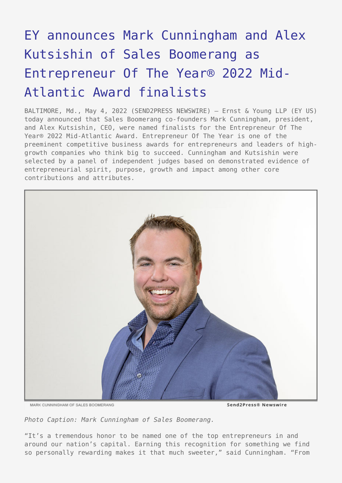## [EY announces Mark Cunningham and Alex](https://www.send2press.com/wire/ey-announces-mark-cunningham-and-alex-kutsishin-of-sales-boomerang-as-entrepreneur-of-the-year-2022-mid-atlantic-award-finalists/) [Kutsishin of Sales Boomerang as](https://www.send2press.com/wire/ey-announces-mark-cunningham-and-alex-kutsishin-of-sales-boomerang-as-entrepreneur-of-the-year-2022-mid-atlantic-award-finalists/) [Entrepreneur Of The Year® 2022 Mid-](https://www.send2press.com/wire/ey-announces-mark-cunningham-and-alex-kutsishin-of-sales-boomerang-as-entrepreneur-of-the-year-2022-mid-atlantic-award-finalists/)[Atlantic Award finalists](https://www.send2press.com/wire/ey-announces-mark-cunningham-and-alex-kutsishin-of-sales-boomerang-as-entrepreneur-of-the-year-2022-mid-atlantic-award-finalists/)

BALTIMORE, Md., May 4, 2022 (SEND2PRESS NEWSWIRE) — Ernst & Young LLP (EY US) today announced that Sales Boomerang co-founders Mark Cunningham, president, and Alex Kutsishin, CEO, were named finalists for the Entrepreneur Of The Year® 2022 Mid-Atlantic Award. Entrepreneur Of The Year is one of the preeminent competitive business awards for entrepreneurs and leaders of highgrowth companies who think big to succeed. Cunningham and Kutsishin were selected by a panel of independent judges based on demonstrated evidence of entrepreneurial spirit, purpose, growth and impact among other core contributions and attributes.



MARK CUNNINGHAM OF SALES BOOMERANG

Send2Press® Newswire

*Photo Caption: Mark Cunningham of Sales Boomerang.*

"It's a tremendous honor to be named one of the top entrepreneurs in and around our nation's capital. Earning this recognition for something we find so personally rewarding makes it that much sweeter," said Cunningham. "From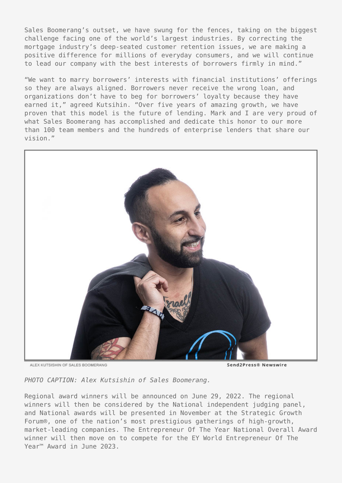Sales Boomerang's outset, we have swung for the fences, taking on the biggest challenge facing one of the world's largest industries. By correcting the mortgage industry's deep-seated customer retention issues, we are making a positive difference for millions of everyday consumers, and we will continue to lead our company with the best interests of borrowers firmly in mind."

"We want to marry borrowers' interests with financial institutions' offerings so they are always aligned. Borrowers never receive the wrong loan, and organizations don't have to beg for borrowers' loyalty because they have earned it," agreed Kutsihin. "Over five years of amazing growth, we have proven that this model is the future of lending. Mark and I are very proud of what Sales Boomerang has accomplished and dedicate this honor to our more than 100 team members and the hundreds of enterprise lenders that share our vision."



ALEX KUTSISHIN OF SALES BOOMERANG

Send2Press® Newswire

*PHOTO CAPTION: Alex Kutsishin of Sales Boomerang.*

Regional award winners will be announced on June 29, 2022. The regional winners will then be considered by the National independent judging panel, and National awards will be presented in November at the Strategic Growth Forum®, one of the nation's most prestigious gatherings of high-growth, market-leading companies. The Entrepreneur Of The Year National Overall Award winner will then move on to compete for the EY World Entrepreneur Of The Year™ Award in June 2023.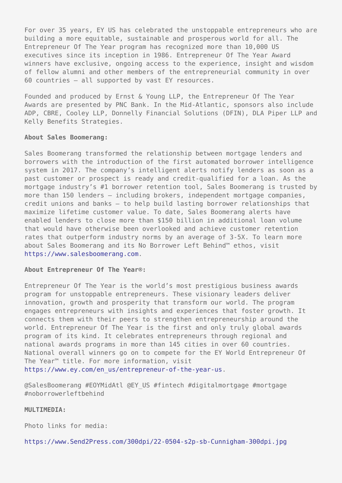For over 35 years, EY US has celebrated the unstoppable entrepreneurs who are building a more equitable, sustainable and prosperous world for all. The Entrepreneur Of The Year program has recognized more than 10,000 US executives since its inception in 1986. Entrepreneur Of The Year Award winners have exclusive, ongoing access to the experience, insight and wisdom of fellow alumni and other members of the entrepreneurial community in over 60 countries — all supported by vast EY resources.

Founded and produced by Ernst & Young LLP, the Entrepreneur Of The Year Awards are presented by PNC Bank. In the Mid-Atlantic, sponsors also include ADP, CBRE, Cooley LLP, Donnelly Financial Solutions (DFIN), DLA Piper LLP and Kelly Benefits Strategies.

## **About Sales Boomerang:**

Sales Boomerang transformed the relationship between mortgage lenders and borrowers with the introduction of the first automated borrower intelligence system in 2017. The company's intelligent alerts notify lenders as soon as a past customer or prospect is ready and credit-qualified for a loan. As the mortgage industry's #1 borrower retention tool, Sales Boomerang is trusted by more than 150 lenders — including brokers, independent mortgage companies, credit unions and banks — to help build lasting borrower relationships that maximize lifetime customer value. To date, Sales Boomerang alerts have enabled lenders to close more than \$150 billion in additional loan volume that would have otherwise been overlooked and achieve customer retention rates that outperform industry norms by an average of 3-5X. To learn more about Sales Boomerang and its No Borrower Left Behind™ ethos, visit <https://www.salesboomerang.com>.

## **About Entrepreneur Of The Year®:**

Entrepreneur Of The Year is the world's most prestigious business awards program for unstoppable entrepreneurs. These visionary leaders deliver innovation, growth and prosperity that transform our world. The program engages entrepreneurs with insights and experiences that foster growth. It connects them with their peers to strengthen entrepreneurship around the world. Entrepreneur Of The Year is the first and only truly global awards program of its kind. It celebrates entrepreneurs through regional and national awards programs in more than 145 cities in over 60 countries. National overall winners go on to compete for the EY World Entrepreneur Of The Year™ title. For more information, visit

[https://www.ey.com/en\\_us/entrepreneur-of-the-year-us.](https://www.ey.com/en_us/entrepreneur-of-the-year-us)

@SalesBoomerang #EOYMidAtl @EY\_US #fintech #digitalmortgage #mortgage #noborrowerleftbehind

## **MULTIMEDIA:**

Photo links for media:

<https://www.Send2Press.com/300dpi/22-0504-s2p-sb-Cunnigham-300dpi.jpg>